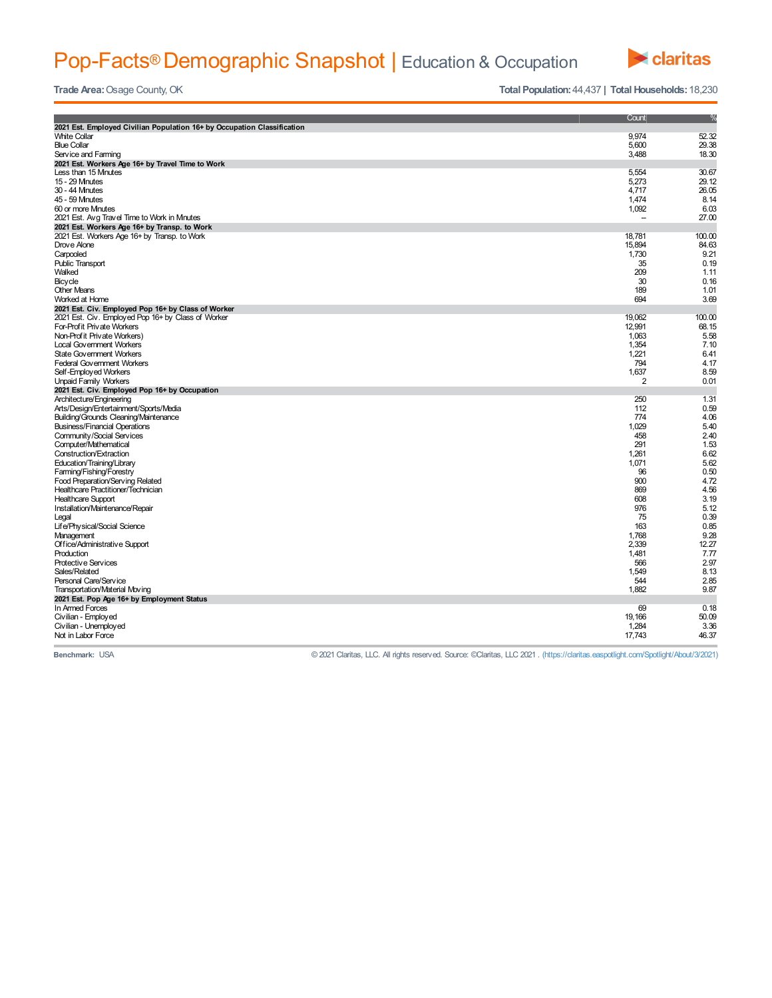## Pop-Facts® Demographic Snapshot | Education & Occupation



**Trade Area:** Osage County, OK **Total Population:** 44,437 **| Total Households:** 18,230

|                                                                         | Count          | %      |  |  |  |
|-------------------------------------------------------------------------|----------------|--------|--|--|--|
| 2021 Est. Employed Civilian Population 16+ by Occupation Classification |                |        |  |  |  |
| <b>White Collar</b>                                                     | 9,974          | 52.32  |  |  |  |
| <b>Blue Collar</b>                                                      | 5,600          | 29.38  |  |  |  |
| Service and Farming                                                     | 3,488          | 18.30  |  |  |  |
| 2021 Est. Workers Age 16+ by Travel Time to Work                        |                |        |  |  |  |
| Less than 15 Mnutes                                                     | 5,554          | 30.67  |  |  |  |
| 15 - 29 Mnutes                                                          | 5.273          | 29.12  |  |  |  |
| 30 - 44 Mnutes                                                          | 4,717          | 26.05  |  |  |  |
| 45 - 59 Mnutes                                                          | 1,474          | 8.14   |  |  |  |
| 60 or more Minutes                                                      | 1,092          | 6.03   |  |  |  |
| 2021 Est. Avg Travel Time to Work in Minutes                            |                | 27.00  |  |  |  |
| 2021 Est. Workers Age 16+ by Transp. to Work                            |                |        |  |  |  |
| 2021 Est. Workers Age 16+ by Transp. to Work                            | 18,781         | 100.00 |  |  |  |
| Drove Alone                                                             | 15,894         | 84.63  |  |  |  |
| Carpooled                                                               | 1,730          | 9.21   |  |  |  |
| <b>Public Transport</b>                                                 | 35             | 0.19   |  |  |  |
| Walked                                                                  | 209            | 1.11   |  |  |  |
| Bicycle                                                                 | 30             | 0.16   |  |  |  |
| <b>Other Means</b>                                                      | 189            | 1.01   |  |  |  |
| Worked at Home                                                          | 694            | 3.69   |  |  |  |
| 2021 Est. Civ. Employed Pop 16+ by Class of Worker                      |                |        |  |  |  |
| 2021 Est. Civ. Employed Pop 16+ by Class of Worker                      | 19,062         | 100.00 |  |  |  |
| For-Profit Private Workers                                              | 12,991         | 68.15  |  |  |  |
| Non-Prof it Private Workers)                                            | 1.063          | 5.58   |  |  |  |
| <b>Local Government Workers</b>                                         | 1,354          | 7.10   |  |  |  |
| State Government Workers                                                | 1,221          | 6.41   |  |  |  |
| <b>Federal Government Workers</b>                                       | 794            | 4.17   |  |  |  |
| Self-Employed Workers                                                   | 1,637          | 8.59   |  |  |  |
| <b>Unpaid Family Workers</b>                                            | $\overline{2}$ | 0.01   |  |  |  |
| 2021 Est. Civ. Employed Pop 16+ by Occupation                           |                |        |  |  |  |
| Architecture/Engineering                                                | 250            | 1.31   |  |  |  |
| Arts/Design/Entertainment/Sports/Media                                  | 112            | 0.59   |  |  |  |
| Building/Grounds Cleaning/Maintenance                                   | 774            | 4.06   |  |  |  |
| <b>Business/Financial Operations</b>                                    | 1.029          | 5.40   |  |  |  |
| Community/Social Services                                               | 458            | 2.40   |  |  |  |
| Computer/Mathematical                                                   | 291            | 1.53   |  |  |  |
| Construction/Extraction                                                 | 1,261          | 6.62   |  |  |  |
| Education/Training/Library                                              | 1,071          | 5.62   |  |  |  |
| Farming/Fishing/Forestry                                                | 96             | 0.50   |  |  |  |
| Food Preparation/Serving Related                                        | 900            | 4.72   |  |  |  |
| Healthcare Practitioner/Technician                                      | 869            | 4.56   |  |  |  |
| <b>Healthcare Support</b>                                               | 608            | 3.19   |  |  |  |
| Installation/Maintenance/Repair                                         | 976            | 5.12   |  |  |  |
| Legal                                                                   | 75             | 0.39   |  |  |  |
| Life/Physical/Social Science                                            | 163            | 0.85   |  |  |  |
| Management                                                              | 1,768          | 9.28   |  |  |  |
| Office/Administrative Support                                           | 2,339          | 12.27  |  |  |  |
| Production                                                              | 1.481          | 7.77   |  |  |  |
| Protective Services                                                     | 566            | 2.97   |  |  |  |
| Sales/Related                                                           | 1.549          | 8.13   |  |  |  |
| Personal Care/Service                                                   | 544            | 2.85   |  |  |  |
| Transportation/Material Moving                                          | 1,882          | 9.87   |  |  |  |
| 2021 Est. Pop Age 16+ by Employment Status                              |                |        |  |  |  |
| In Armed Forces                                                         | 69             | 0.18   |  |  |  |
| Civilian - Employed                                                     | 19,166         | 50.09  |  |  |  |
| Civilian - Unemployed                                                   | 1,284          | 3.36   |  |  |  |
| Not in Labor Force                                                      | 17,743         | 46.37  |  |  |  |
|                                                                         |                |        |  |  |  |

**Benchmark:** USA © 2021 Claritas, LLC. All rights reserved. Source: ©Claritas, LLC 2021 . (https://claritas.easpotlight.com/Spotlight/About/3/2021)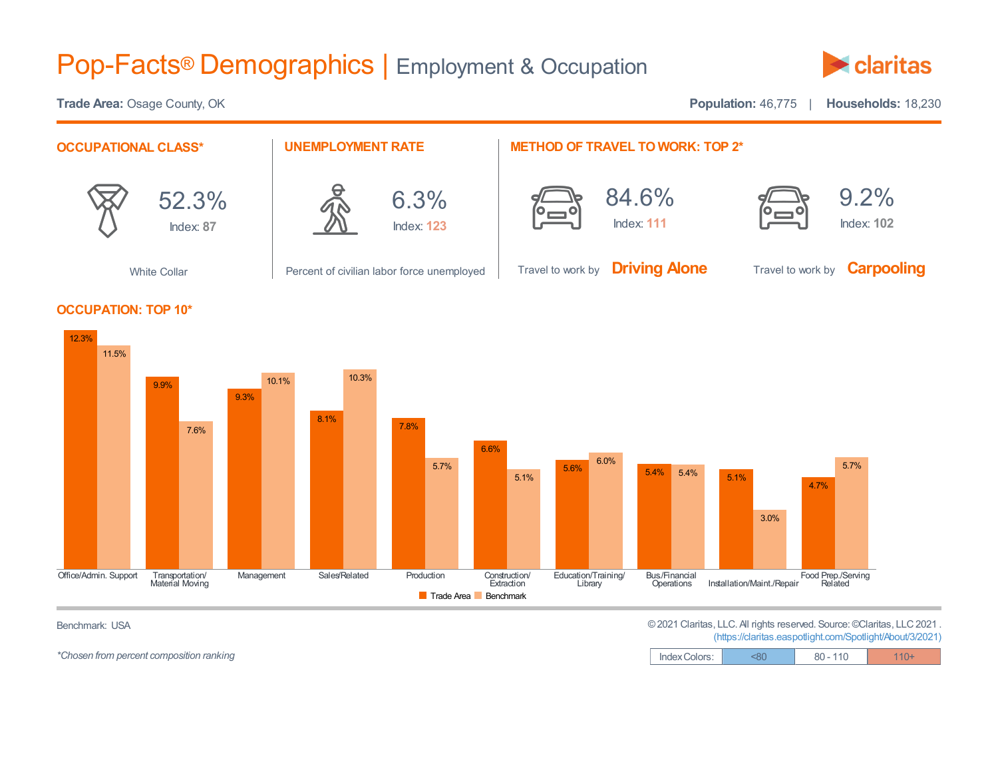## Pop-Facts® Demographics | Employment & Occupation



**Trade Area:** Osage County, OK **Population:** 46,775 | **Households:** 18,230 **OCCUPATIONAL CLASS\*** 52.3% Index: **87** White Collar **UNEMPLOYMENT RATE** 6.3% Index: **123** Percent of civilian labor force unemployed **METHOD OF TRAVEL TO WORK: TOP 2\*** 84.6% Index: **111** Travel to work by **Driving Alone** 9.2% Index: **102** Travel to work by **Carpooling OCCUPATION: TOP 10\*** 12.3% 9.9% 11.5% 10.1% 10.3%



Benchmark: USA ©2021 Claritas, LLC. All rights reserved. Source:©Claritas, LLC2021 . (https://claritas.easpotlight.com/Spotlight/About/3/2021)

| Index Colors: |  |  |
|---------------|--|--|

*\*Chosen* from percent composition ranking